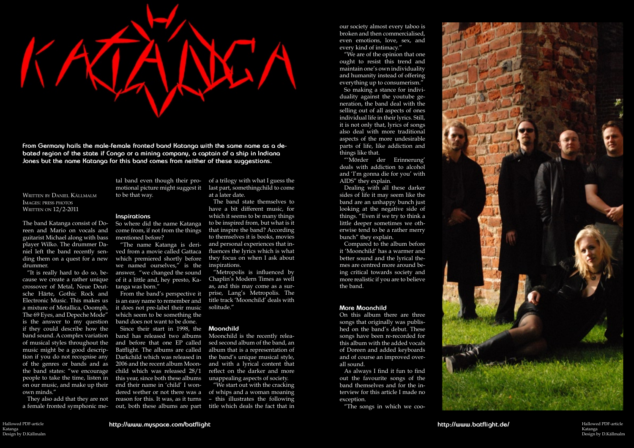Written by Daniel Källmalm Images: press photos WRITTEN ON 12/2-2011



**From Germany hails the male-female fronted band Katanga with the same name as a debated region of the state if Congo or a mining company, a captain of a ship in Indiana Jones but the name Katanga for this band comes from neither of these suggestions.**

The band Katanga consist of Doreen and Mario on vocals and guitarist Michael along with bass player Wilko. The drummer Daniel left the band recently sending them on a quest for a new drummer.

cause we create a rather unique crossover of Metal, Neue Deutsche Härte, Gothic Rock and Electronic Music. This makes us a mixture of Metallica, Ooomph, The 69 Eyes, and Depeche Mode" is the answer to my question if they could describe how the band sound. A complex variation of musical styles throughout the music might be a good description if you do not recognise any of the genres or bands and as the band states: "we encourage people to take the time, listen in on our music, and make up their end their name in 'child' I wonown minds."

They also add that they are not reason for this. It was, as it turns Since their start in 1998, the band has released two albums and before that one EP called Batflight. The albums are called Darkchild which was released in 2006 and the recent album Moonchild which was released 28/1 this year, since both these albums dered wether or not there was a

"It is really hard to do so, be-answer, "we changed the sound "The name Katanga is derived from a movie called Gattaca which premiered shortly before we named ourselves," is the of it a little and, hey presto, Katanga was born."

tal band even though their promotional picture might suggest it to be that way.

### **Inspirations**

So where did the name Katanga come from, if not from the things mentioned before?

a female fronted symphonic me-out, both these albums are part

From the band's perspective it is an easy name to remember and it does not pre-label their music which seem to be something the band does not want to be done.

of a trilogy with what I guess the last part, somethingchild to come at a later date.

The band state themselves to have a bit different music, for which it seems to be many things to be inspired from, but what is it that inspire the band? According to themselves it is books, movies and personal experiences that influences the lyrics which is what they focus on when I ask about inspirations.

> Hallowed PDF-article Hallowed PDF-article <sub>Katanga</sub><br>Design by D.Källmalm Katanga

"Metropolis is influenced by Chaplin's Modern Times as well as, and this may come as a surprise, Lang's Metropolis. The title track 'Moonchild' deals with solitude."

## **Moonchild**

Moonchild is the recently released second album of the band, an album that is a representation of the band's unique musical style, and with a lyrical content that reflect on the darker and more unappealing aspects of society.

"We start out with the cracking of whips and a woman moaning – this illustrates the following title which deals the fact that in

our society almost every taboo is broken and then commercialised, even emotions, love, sex, and every kind of intimacy."

"We are of the opinion that one ought to resist this trend and maintain one's own individuality and humanity instead of offering everything up to consumerism."

So making a stance for individuality against the youtube generation, the band deal with the selling out of all aspects of ones individual life in their lyrics. Still, it is not only that, lyrics of songs also deal with more traditional aspects of the more undesirable parts of life, like addiction and things like that.

"'Mörder der Erinnerung' deals with addiction to alcohol and 'I'm gonna die for you' with AIDS" they explain.

Dealing with all these darker sides of life it may seem like the band are an unhappy bunch just looking at the negative side of things. "Even if we try to think a little deeper sometimes we otherwise tend to be a rather merry bunch" they explain.

Compared to the album before it 'Moonchild' has a warmer and better sound and the lyrical themes are centred more around being critical towards society and more realistic if you are to believe the band.

## **More Moonchild**

On this album there are three songs that originally was published on the band's debut. These songs have been re-recorded for this album with the added vocals of Doreen and added keyboards and of course an improved overall sound.

As always I find it fun to find out the favourite songs of the band themselves and for the interview for this article I made no exception.

"The songs in which we coo-